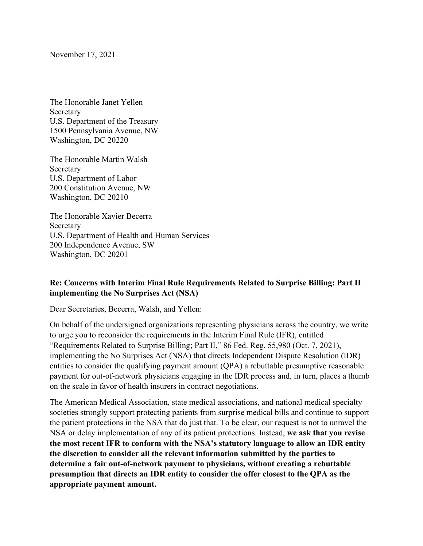November 17, 2021

The Honorable Janet Yellen Secretary U.S. Department of the Treasury 1500 Pennsylvania Avenue, NW Washington, DC 20220

The Honorable Martin Walsh Secretary U.S. Department of Labor 200 Constitution Avenue, NW Washington, DC 20210

The Honorable Xavier Becerra Secretary U.S. Department of Health and Human Services 200 Independence Avenue, SW Washington, DC 20201

## **Re: Concerns with Interim Final Rule Requirements Related to Surprise Billing: Part II implementing the No Surprises Act (NSA)**

Dear Secretaries, Becerra, Walsh, and Yellen:

On behalf of the undersigned organizations representing physicians across the country, we write to urge you to reconsider the requirements in the Interim Final Rule (IFR), entitled "Requirements Related to Surprise Billing; Part II," 86 Fed. Reg. 55,980 (Oct. 7, 2021), implementing the No Surprises Act (NSA) that directs Independent Dispute Resolution (IDR) entities to consider the qualifying payment amount (QPA) a rebuttable presumptive reasonable payment for out-of-network physicians engaging in the IDR process and, in turn, places a thumb on the scale in favor of health insurers in contract negotiations.

The American Medical Association, state medical associations, and national medical specialty societies strongly support protecting patients from surprise medical bills and continue to support the patient protections in the NSA that do just that. To be clear, our request is not to unravel the NSA or delay implementation of any of its patient protections. Instead, **we ask that you revise the most recent IFR to conform with the NSA's statutory language to allow an IDR entity the discretion to consider all the relevant information submitted by the parties to determine a fair out-of-network payment to physicians, without creating a rebuttable presumption that directs an IDR entity to consider the offer closest to the QPA as the appropriate payment amount.**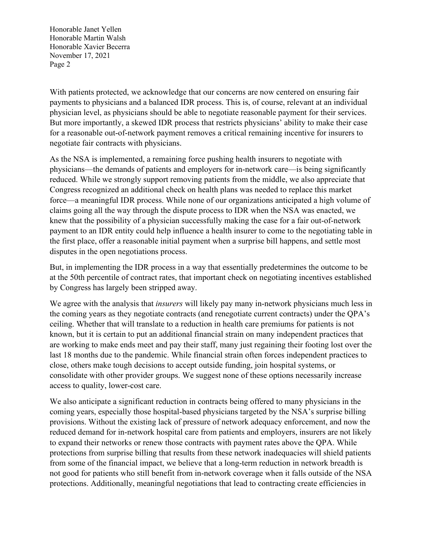With patients protected, we acknowledge that our concerns are now centered on ensuring fair payments to physicians and a balanced IDR process. This is, of course, relevant at an individual physician level, as physicians should be able to negotiate reasonable payment for their services. But more importantly, a skewed IDR process that restricts physicians' ability to make their case for a reasonable out-of-network payment removes a critical remaining incentive for insurers to negotiate fair contracts with physicians.

As the NSA is implemented, a remaining force pushing health insurers to negotiate with physicians—the demands of patients and employers for in-network care—is being significantly reduced. While we strongly support removing patients from the middle, we also appreciate that Congress recognized an additional check on health plans was needed to replace this market force—a meaningful IDR process. While none of our organizations anticipated a high volume of claims going all the way through the dispute process to IDR when the NSA was enacted, we knew that the possibility of a physician successfully making the case for a fair out-of-network payment to an IDR entity could help influence a health insurer to come to the negotiating table in the first place, offer a reasonable initial payment when a surprise bill happens, and settle most disputes in the open negotiations process.

But, in implementing the IDR process in a way that essentially predetermines the outcome to be at the 50th percentile of contract rates, that important check on negotiating incentives established by Congress has largely been stripped away.

We agree with the analysis that *insurers* will likely pay many in-network physicians much less in the coming years as they negotiate contracts (and renegotiate current contracts) under the QPA's ceiling. Whether that will translate to a reduction in health care premiums for patients is not known, but it is certain to put an additional financial strain on many independent practices that are working to make ends meet and pay their staff, many just regaining their footing lost over the last 18 months due to the pandemic. While financial strain often forces independent practices to close, others make tough decisions to accept outside funding, join hospital systems, or consolidate with other provider groups. We suggest none of these options necessarily increase access to quality, lower-cost care.

We also anticipate a significant reduction in contracts being offered to many physicians in the coming years, especially those hospital-based physicians targeted by the NSA's surprise billing provisions. Without the existing lack of pressure of network adequacy enforcement, and now the reduced demand for in-network hospital care from patients and employers, insurers are not likely to expand their networks or renew those contracts with payment rates above the QPA. While protections from surprise billing that results from these network inadequacies will shield patients from some of the financial impact, we believe that a long-term reduction in network breadth is not good for patients who still benefit from in-network coverage when it falls outside of the NSA protections. Additionally, meaningful negotiations that lead to contracting create efficiencies in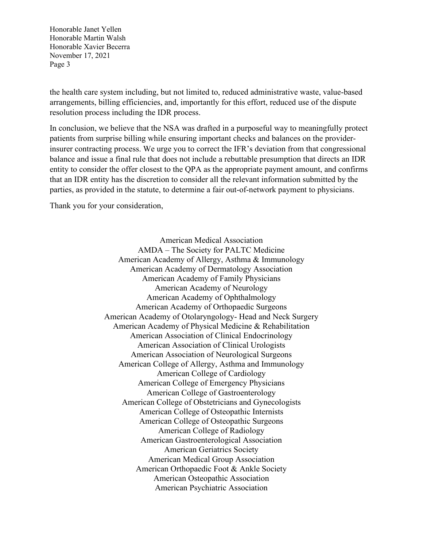the health care system including, but not limited to, reduced administrative waste, value-based arrangements, billing efficiencies, and, importantly for this effort, reduced use of the dispute resolution process including the IDR process.

In conclusion, we believe that the NSA was drafted in a purposeful way to meaningfully protect patients from surprise billing while ensuring important checks and balances on the providerinsurer contracting process. We urge you to correct the IFR's deviation from that congressional balance and issue a final rule that does not include a rebuttable presumption that directs an IDR entity to consider the offer closest to the QPA as the appropriate payment amount, and confirms that an IDR entity has the discretion to consider all the relevant information submitted by the parties, as provided in the statute, to determine a fair out-of-network payment to physicians.

Thank you for your consideration,

American Medical Association AMDA – The Society for PALTC Medicine American Academy of Allergy, Asthma & Immunology American Academy of Dermatology Association American Academy of Family Physicians American Academy of Neurology American Academy of Ophthalmology American Academy of Orthopaedic Surgeons American Academy of Otolaryngology- Head and Neck Surgery American Academy of Physical Medicine & Rehabilitation American Association of Clinical Endocrinology American Association of Clinical Urologists American Association of Neurological Surgeons American College of Allergy, Asthma and Immunology American College of Cardiology American College of Emergency Physicians American College of Gastroenterology American College of Obstetricians and Gynecologists American College of Osteopathic Internists American College of Osteopathic Surgeons American College of Radiology American Gastroenterological Association American Geriatrics Society American Medical Group Association American Orthopaedic Foot & Ankle Society American Osteopathic Association American Psychiatric Association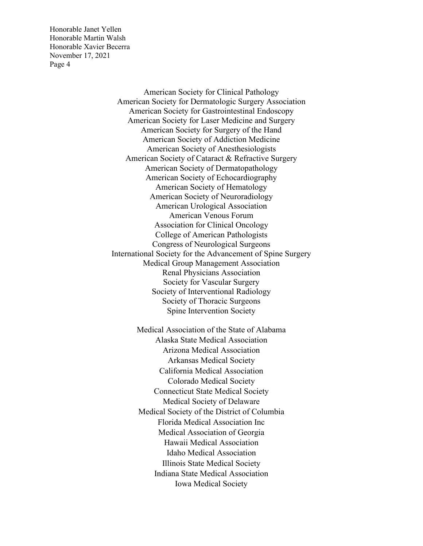> American Society for Clinical Pathology American Society for Dermatologic Surgery Association American Society for Gastrointestinal Endoscopy American Society for Laser Medicine and Surgery American Society for Surgery of the Hand American Society of Addiction Medicine American Society of Anesthesiologists American Society of Cataract & Refractive Surgery American Society of Dermatopathology American Society of Echocardiography American Society of Hematology American Society of Neuroradiology American Urological Association American Venous Forum Association for Clinical Oncology College of American Pathologists Congress of Neurological Surgeons International Society for the Advancement of Spine Surgery Medical Group Management Association Renal Physicians Association Society for Vascular Surgery Society of Interventional Radiology Society of Thoracic Surgeons Spine Intervention Society

> > Medical Association of the State of Alabama Alaska State Medical Association Arizona Medical Association Arkansas Medical Society California Medical Association Colorado Medical Society Connecticut State Medical Society Medical Society of Delaware Medical Society of the District of Columbia Florida Medical Association Inc Medical Association of Georgia Hawaii Medical Association Idaho Medical Association Illinois State Medical Society Indiana State Medical Association Iowa Medical Society